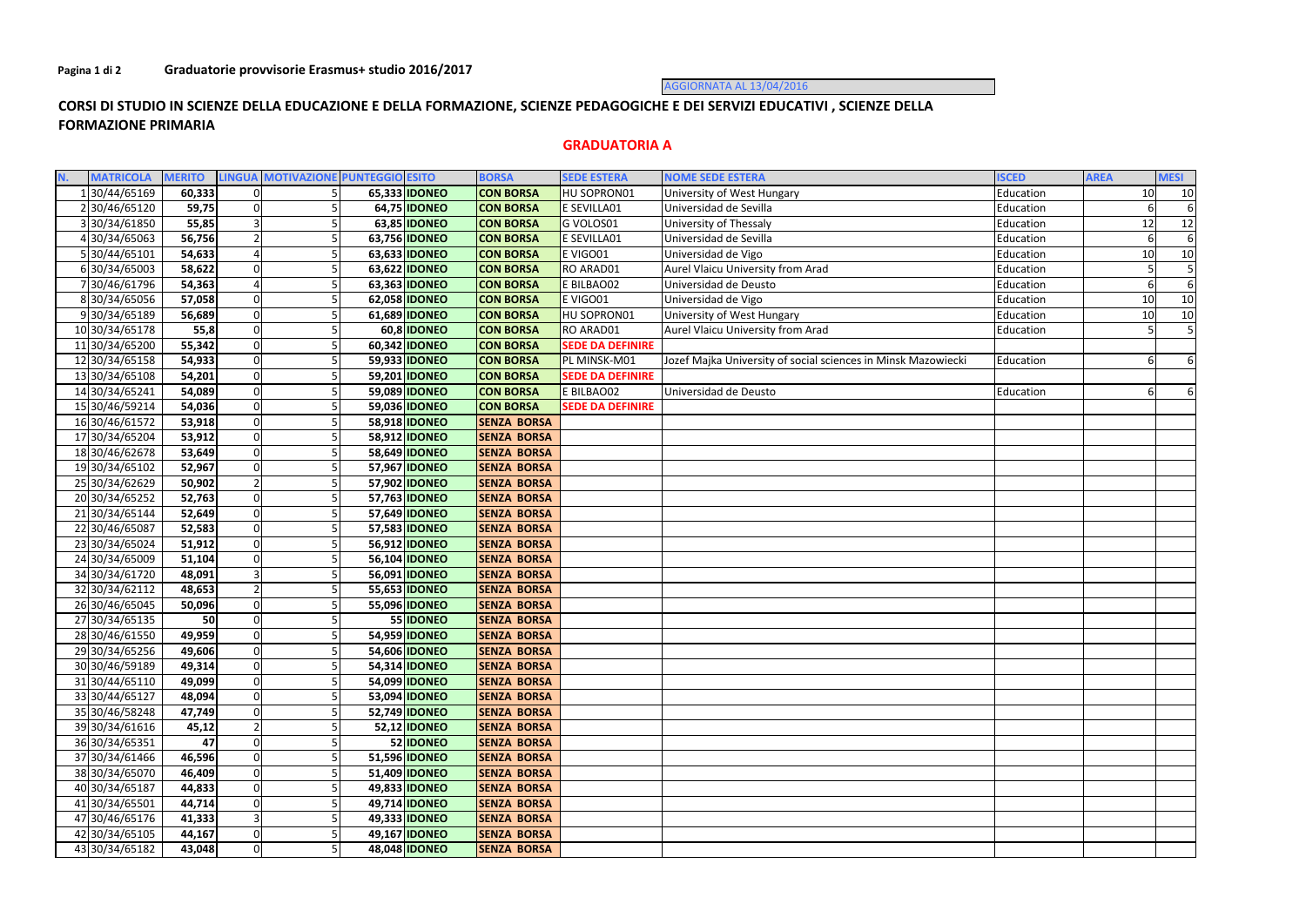AGGIORNATA AL 13/04/2016

## **CORSI DI STUDIO IN SCIENZE DELLA EDUCAZIONE E DELLA FORMAZIONE, SCIENZE PEDAGOGICHE E DEI SERVIZI EDUCATIVI , SCIENZE DELLA FORMAZIONE PRIMARIA**

## **GRADUATORIA A**

| <b>MATRICOLA</b> | <b>MERITO</b> |                | LINGUA MOTIVAZIONE PUNTEGGIO ESITO |                      | <b>BORSA</b>       | <b>SEDE ESTERA</b>      | <b>NOME SEDE ESTERA</b>                                       | <b>ISCED</b> | <b>AREA</b> | <b>MESI</b> |
|------------------|---------------|----------------|------------------------------------|----------------------|--------------------|-------------------------|---------------------------------------------------------------|--------------|-------------|-------------|
| 30/44/65169      | 60,333        | $\Omega$       |                                    | 65,333 IDONEO        | <b>CON BORSA</b>   | HU SOPRON01             | University of West Hungary                                    | Education    | $10\,$      | 10          |
| 230/46/65120     | 59,75         | $\Omega$       |                                    | 64,75 <b>IDONEO</b>  | <b>CON BORSA</b>   | E SEVILLA01             | Universidad de Sevilla                                        | Education    |             | 6           |
| 330/34/61850     | 55,85         |                |                                    | 63,85 <b>IDONEO</b>  | <b>CON BORSA</b>   | G VOLOS01               | University of Thessaly                                        | Education    | 12          | 12          |
| 430/34/65063     | 56,756        |                |                                    | 63,756 IDONEO        | <b>CON BORSA</b>   | E SEVILLA01             | Universidad de Sevilla                                        | Education    |             | 6           |
| 5 30/44/65101    | 54,633        |                |                                    | 63,633 IDONEO        | <b>CON BORSA</b>   | E VIGO01                | Universidad de Vigo                                           | Education    | 10          | 10          |
| 630/34/65003     | 58,622        |                |                                    | 63,622 IDONEO        | <b>CON BORSA</b>   | RO ARAD01               | Aurel Vlaicu University from Arad                             | Education    |             |             |
| 730/46/61796     | 54,363        |                |                                    | 63,363 IDONEO        | <b>CON BORSA</b>   | E BILBAO02              | Universidad de Deusto                                         | Education    |             |             |
| 830/34/65056     | 57,058        |                |                                    | 62,058 IDONEO        | <b>CON BORSA</b>   | E VIGO01                | Universidad de Vigo                                           | Education    | 10          | 10          |
| 930/34/65189     | 56,689        | 0              |                                    | 61,689 IDONEO        | <b>CON BORSA</b>   | HU SOPRON01             | University of West Hungary                                    | Education    | 10          | 10          |
| 10 30/34/65178   | 55,8          | $\Omega$       |                                    | 60,8 IDONEO          | <b>CON BORSA</b>   | RO ARAD01               | Aurel Vlaicu University from Arad                             | Education    |             | 5           |
| 11 30/34/65200   | 55,342        | $\Omega$       |                                    | 60,342 IDONEO        | <b>CON BORSA</b>   | <b>SEDE DA DEFINIRE</b> |                                                               |              |             |             |
| 12 30/34/65158   | 54,933        | $\Omega$       |                                    | 59,933 IDONEO        | <b>CON BORSA</b>   | PL MINSK-M01            | Jozef Majka University of social sciences in Minsk Mazowiecki | Education    |             | 6           |
| 13 30/34/65108   | 54,201        | $\Omega$       |                                    | 59,201 <b>IDONEO</b> | <b>CON BORSA</b>   | <b>SEDE DA DEFINIRE</b> |                                                               |              |             |             |
| 14 30/34/65241   | 54,089        |                |                                    | 59,089 IDONEO        | <b>CON BORSA</b>   | E BILBAO02              | Universidad de Deusto                                         | Education    |             | 6           |
| 15 30/46/59214   | 54,036        | $\Omega$       |                                    | 59,036 IDONEO        | <b>CON BORSA</b>   | <b>SEDE DA DEFINIRE</b> |                                                               |              |             |             |
| 16 30/46/61572   | 53,918        | $\overline{0}$ |                                    | 58,918 <b>IDONEO</b> | <b>SENZA BORSA</b> |                         |                                                               |              |             |             |
| 17 30/34/65204   | 53,912        |                |                                    | 58,912 IDONEO        | <b>SENZA BORSA</b> |                         |                                                               |              |             |             |
| 18 30/46/62678   | 53,649        | $\Omega$       |                                    | 58,649 <b>IDONEO</b> | <b>SENZA BORSA</b> |                         |                                                               |              |             |             |
| 1930/34/65102    | 52,967        |                |                                    | 57,967 <b>IDONEO</b> | <b>SENZA BORSA</b> |                         |                                                               |              |             |             |
| 25 30/34/62629   | 50,902        |                |                                    | 57,902 IDONEO        | <b>SENZA BORSA</b> |                         |                                                               |              |             |             |
| 20 30/34/65252   | 52,763        | $\Omega$       |                                    | 57,763 IDONEO        | <b>SENZA BORSA</b> |                         |                                                               |              |             |             |
| 21 30/34/65144   | 52,649        | $\Omega$       |                                    | 57,649 IDONEO        | <b>SENZA BORSA</b> |                         |                                                               |              |             |             |
| 22 30/46/65087   | 52,583        | $\Omega$       |                                    | 57,583 IDONEO        | <b>SENZA BORSA</b> |                         |                                                               |              |             |             |
| 23 30/34/65024   | 51,912        | $\Omega$       |                                    | 56,912 IDONEO        | <b>SENZA BORSA</b> |                         |                                                               |              |             |             |
| 24 30/34/65009   | 51,104        |                |                                    | 56,104 IDONEO        | <b>SENZA BORSA</b> |                         |                                                               |              |             |             |
| 34 30/34/61720   | 48,091        |                |                                    | 56,091 <b>IDONEO</b> | <b>SENZA BORSA</b> |                         |                                                               |              |             |             |
| 32 30/34/62112   | 48,653        |                |                                    | 55,653 IDONEO        | <b>SENZA BORSA</b> |                         |                                                               |              |             |             |
| 26 30/46/65045   | 50,096        | $\Omega$       |                                    | 55,096 IDONEO        | <b>SENZA BORSA</b> |                         |                                                               |              |             |             |
| 27 30/34/65135   | 50            | $\Omega$       |                                    | 55 IDONEO            | <b>SENZA BORSA</b> |                         |                                                               |              |             |             |
| 28 30/46/61550   | 49,959        | $\Omega$       |                                    | 54,959 IDONEO        | <b>SENZA BORSA</b> |                         |                                                               |              |             |             |
| 2930/34/65256    | 49,606        |                |                                    | 54,606 IDONEO        | <b>SENZA BORSA</b> |                         |                                                               |              |             |             |
| 30 30/46/59189   | 49,314        | 0              |                                    | 54,314 <b>IDONEO</b> | <b>SENZA BORSA</b> |                         |                                                               |              |             |             |
| 31 30/44/65110   | 49,099        | 0              |                                    | 54,099 IDONEO        | <b>SENZA BORSA</b> |                         |                                                               |              |             |             |
| 33 30/44/65127   | 48,094        |                |                                    | 53,094 IDONEO        | <b>SENZA BORSA</b> |                         |                                                               |              |             |             |
| 35 30/46/58248   | 47,749        |                |                                    | 52,749 IDONEO        | <b>SENZA BORSA</b> |                         |                                                               |              |             |             |
| 39 30/34/61616   | 45,12         |                |                                    | 52,12 <b>IDONEO</b>  | <b>SENZA BORSA</b> |                         |                                                               |              |             |             |
| 36 30/34/65351   | 47            | $\overline{0}$ |                                    | 52 IDONEO            | <b>SENZA BORSA</b> |                         |                                                               |              |             |             |
| 37 30/34/61466   | 46,596        |                |                                    | 51,596 <b>IDONEO</b> | <b>SENZA BORSA</b> |                         |                                                               |              |             |             |
| 38 30/34/65070   | 46,409        | 0              |                                    | 51,409 <b>IDONEO</b> | <b>SENZA BORSA</b> |                         |                                                               |              |             |             |
| 40 30/34/65187   | 44,833        | $\overline{0}$ |                                    | 49,833 IDONEO        | <b>SENZA BORSA</b> |                         |                                                               |              |             |             |
| 41 30/34/65501   | 44,714        |                |                                    | 49,714 <b>IDONEO</b> | <b>SENZA BORSA</b> |                         |                                                               |              |             |             |
| 47 30/46/65176   | 41,333        |                |                                    | 49,333 IDONEO        | <b>SENZA BORSA</b> |                         |                                                               |              |             |             |
| 42 30/34/65105   | 44,167        | $\Omega$       |                                    | 49,167 IDONEO        | <b>SENZA BORSA</b> |                         |                                                               |              |             |             |
| 43 30/34/65182   | 43,048        | $\overline{0}$ |                                    | 48,048 <b>IDONEO</b> | <b>SENZA BORSA</b> |                         |                                                               |              |             |             |